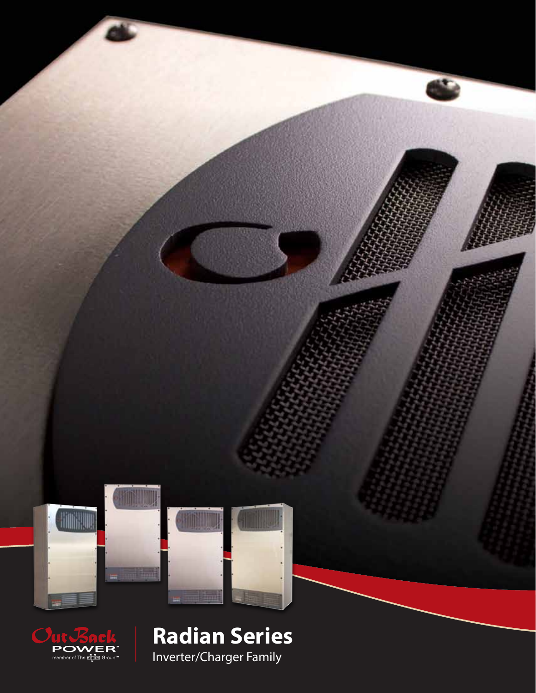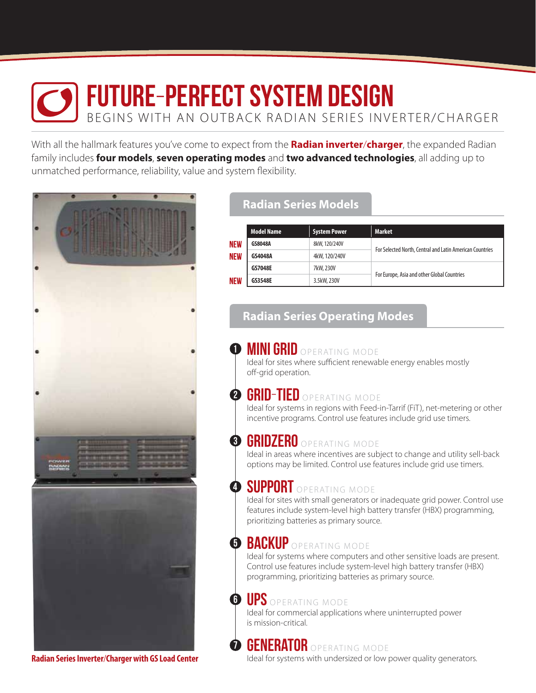# future-perfect system design BEGINS WITH AN OUTBACK RADIAN SERIES INVERTER/CHARGER

1

7

With all the hallmark features you've come to expect from the **Radian inverter**/**charger**, the expanded Radian family includes **four models**, **seven operating modes** and **two advanced technologies**, all adding up to unmatched performance, reliability, value and system flexibility.



### **Radian Series Models**

|                                        | <b>Model Name</b> | <b>System Power</b> | <b>Market</b>                                            |  |
|----------------------------------------|-------------------|---------------------|----------------------------------------------------------|--|
| <b>NEW</b><br><b>NEW</b><br><b>NEW</b> | GS8048A           | 8kW, 120/240V       | For Selected North, Central and Latin American Countries |  |
|                                        | GS4048A           | 4kW, 120/240V       |                                                          |  |
|                                        | <b>GS7048E</b>    | 7kW, 230V           |                                                          |  |
|                                        | GS3548E           | 3.5kW, 230V         | For Europe, Asia and other Global Countries              |  |

### **Radian Series Operating Modes**

### **MINI GRID** OPERATING MODE

Ideal for sites where sufficient renewable energy enables mostly off-grid operation.

#### GRID-TIED OPERATING MODE 2

Ideal for systems in regions with Feed-in-Tarrif (FiT), net-metering or other incentive programs. Control use features include grid use timers.

#### GRIDZERO OPERATING MODE 8

Ideal in areas where incentives are subject to change and utility sell-back options may be limited. Control use features include grid use timers.

#### **SUPPURI** OPERATING MODE 4

Ideal for sites with small generators or inadequate grid power. Control use features include system-level high battery transfer (HBX) programming, prioritizing batteries as primary source.

# **D** BACKUP OPERATING MODE

Ideal for systems where computers and other sensitive loads are present. Control use features include system-level high battery transfer (HBX) programming, prioritizing batteries as primary source.

#### UPS OPERATING MODE 6

Ideal for commercial applications where uninterrupted power is mission-critical.

# **GENERATOR** OPERATING MODE

Ideal for systems with undersized or low power quality generators.

**Radian Series Inverter**/**Charger with GS Load Center**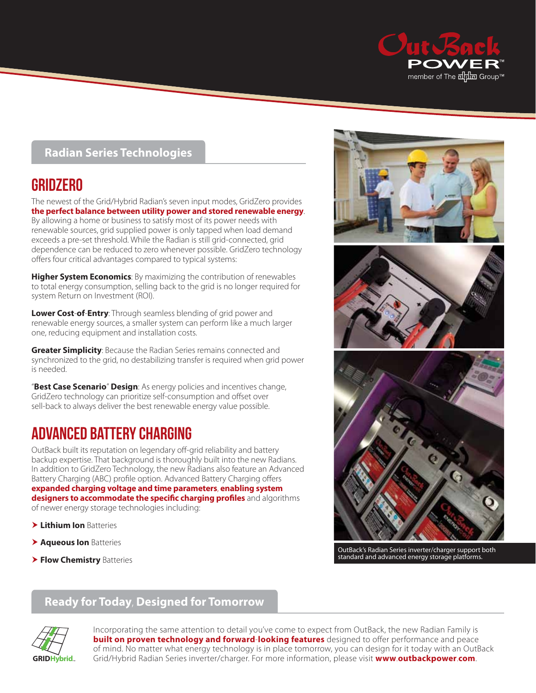

#### **Radian Series Technologies**

# **GRIDZERO**

The newest of the Grid/Hybrid Radian's seven input modes, GridZero provides **the perfect balance between utility power and stored renewable energy**. By allowing a home or business to satisfy most of its power needs with renewable sources, grid supplied power is only tapped when load demand exceeds a pre-set threshold. While the Radian is still grid-connected, grid dependence can be reduced to zero whenever possible. GridZero technology offers four critical advantages compared to typical systems:

**Higher System Economics**: By maximizing the contribution of renewables to total energy consumption, selling back to the grid is no longer required for system Return on Investment (ROI).

**Lower Cost**-**of**-**Entry**: Through seamless blending of grid power and renewable energy sources, a smaller system can perform like a much larger one, reducing equipment and installation costs.

**Greater Simplicity**: Because the Radian Series remains connected and synchronized to the grid, no destabilizing transfer is required when grid power is needed.

"**Best Case Scenario**" **Design**: As energy policies and incentives change, GridZero technology can prioritize self-consumption and offset over sell-back to always deliver the best renewable energy value possible.

# advanced battery charging

OutBack built its reputation on legendary off-grid reliability and battery backup expertise. That background is thoroughly built into the new Radians. In addition to GridZero Technology, the new Radians also feature an Advanced Battery Charging (ABC) profile option. Advanced Battery Charging offers **expanded charging voltage and time parameters**, **enabling system designers to accommodate the specific charging profiles** and algorithms of newer energy storage technologies including:

- **Lithium Ion** Batteries
- **Aqueous Ion** Batteries
- **Flow Chemistry** Batteries







OutBack's Radian Series inverter/charger support both standard and advanced energy storage platforms.

### **Ready for Today**, **Designed for Tomorrow**



Incorporating the same attention to detail you've come to expect from OutBack, the new Radian Family is **built on proven technology and forward**-**looking features** designed to offer performance and peace of mind. No matter what energy technology is in place tomorrow, you can design for it today with an OutBack **GRIDHybrid**™ Grid/Hybrid Radian Series inverter/charger. For more information, please visit **www**.**outbackpower**.**com**.